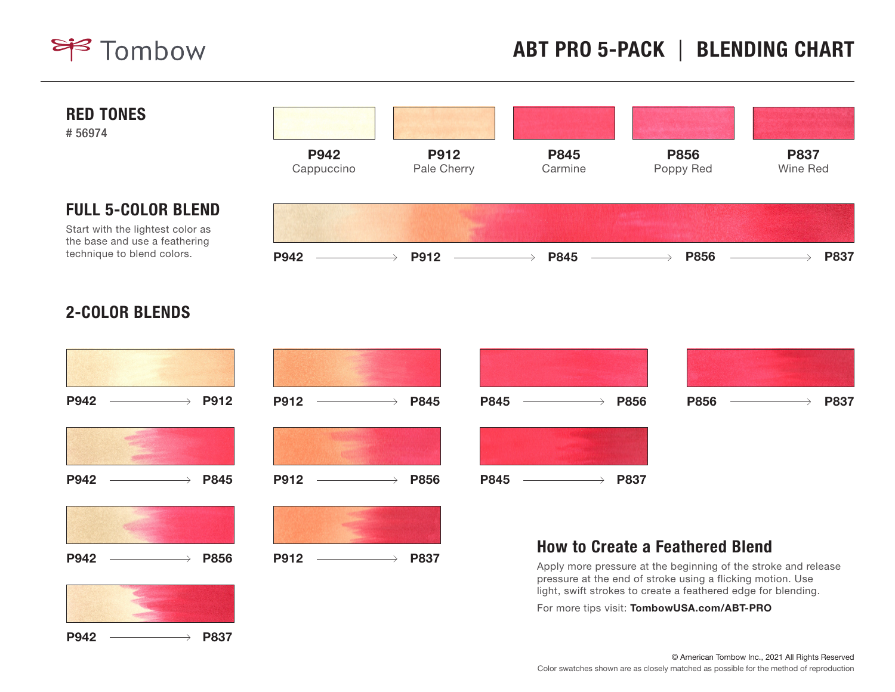



## 2-COLOR BLENDS





 $P942$   $\longrightarrow$  P837

© American Tombow Inc., 2021 All Rights Reserved Color swatches shown are as closely matched as possible for the method of reproduction

For more tips visit: TombowUSA.com/ABT-PRO